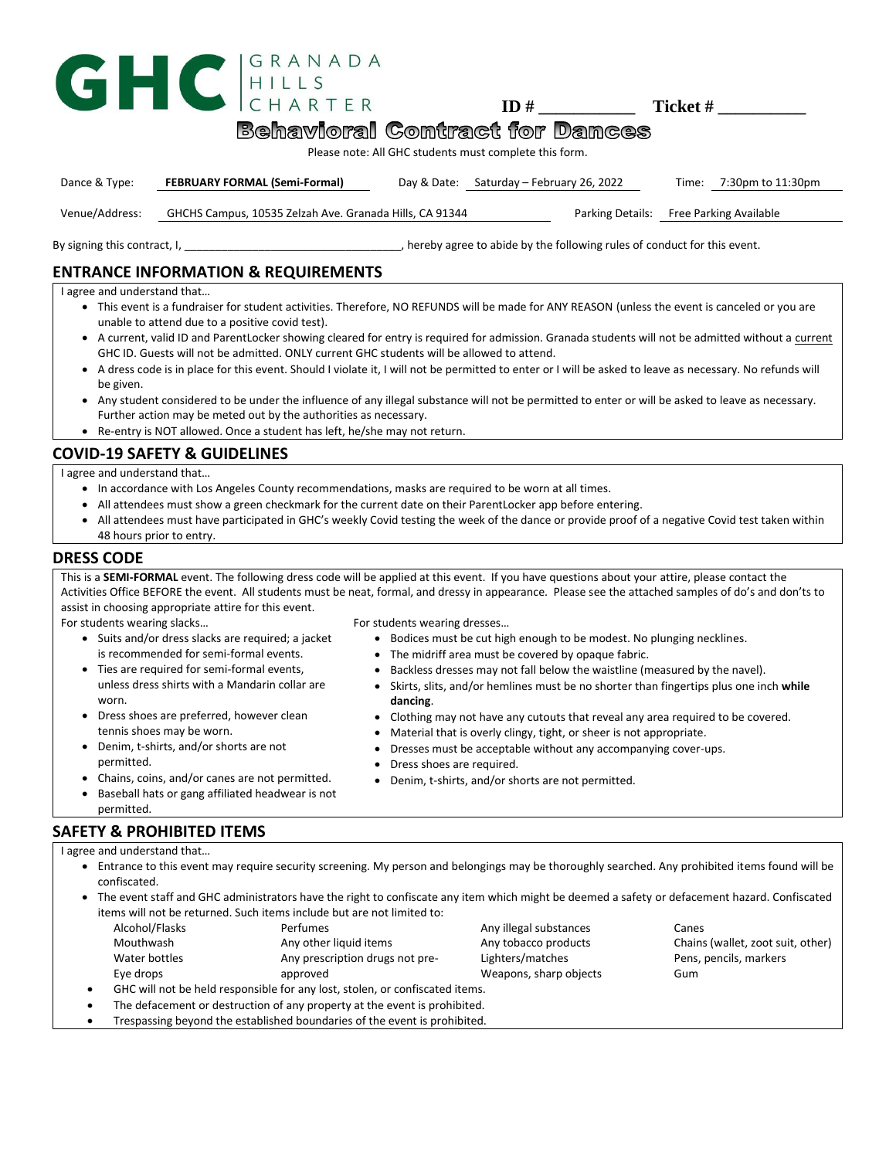|                                                                                                                                                                                           | ARTFR                                                   |             | ID#                          | Ticket #                   |  |  |
|-------------------------------------------------------------------------------------------------------------------------------------------------------------------------------------------|---------------------------------------------------------|-------------|------------------------------|----------------------------|--|--|
| <b>Behavioral Contract for Dances</b>                                                                                                                                                     |                                                         |             |                              |                            |  |  |
| Please note: All GHC students must complete this form.                                                                                                                                    |                                                         |             |                              |                            |  |  |
| Dance & Type:                                                                                                                                                                             | <b>FEBRUARY FORMAL (Semi-Formal)</b>                    | Day & Date: | Saturday – February 26, 2022 | 7:30pm to 11:30pm<br>Time: |  |  |
| Venue/Address:                                                                                                                                                                            | GHCHS Campus, 10535 Zelzah Ave. Granada Hills, CA 91344 |             | Parking Details:             | Free Parking Available     |  |  |
| By signing this contract, I, succession of the set of the set of the set of the set of the set of the set of t<br>hereby agree to abide by the following rules of conduct for this event. |                                                         |             |                              |                            |  |  |
| <b>ENTRANCE INFORMATION &amp; REQUIREMENTS</b>                                                                                                                                            |                                                         |             |                              |                            |  |  |
| I agree and understand that                                                                                                                                                               |                                                         |             |                              |                            |  |  |

- This event is a fundraiser for student activities. Therefore, NO REFUNDS will be made for ANY REASON (unless the event is canceled or you are unable to attend due to a positive covid test).
- A current, valid ID and ParentLocker showing cleared for entry is required for admission. Granada students will not be admitted without a current GHC ID. Guests will not be admitted. ONLY current GHC students will be allowed to attend.
- A dress code is in place for this event. Should I violate it, I will not be permitted to enter or I will be asked to leave as necessary. No refunds will be given.
- Any student considered to be under the influence of any illegal substance will not be permitted to enter or will be asked to leave as necessary. Further action may be meted out by the authorities as necessary.
- Re-entry is NOT allowed. Once a student has left, he/she may not return.

### **COVID-19 SAFETY & GUIDELINES**

I agree and understand that…

- In accordance with Los Angeles County recommendations, masks are required to be worn at all times.
- All attendees must show a green checkmark for the current date on their ParentLocker app before entering.
- All attendees must have participated in GHC's weekly Covid testing the week of the dance or provide proof of a negative Covid test taken within 48 hours prior to entry.

#### **DRESS CODE**

This is a **SEMI-FORMAL** event. The following dress code will be applied at this event. If you have questions about your attire, please contact the Activities Office BEFORE the event. All students must be neat, formal, and dressy in appearance. Please see the attached samples of do's and don'ts to assist in choosing appropriate attire for this event.

For students wearing slacks…

- Suits and/or dress slacks are required; a jacket is recommended for semi-formal events.
- Ties are required for semi-formal events, unless dress shirts with a Mandarin collar are worn.
- Dress shoes are preferred, however clean tennis shoes may be worn.
- Denim, t-shirts, and/or shorts are not permitted.
- Chains, coins, and/or canes are not permitted.
- Baseball hats or gang affiliated headwear is not permitted.

# **SAFETY & PROHIBITED ITEMS**

I agree and understand that…

- Entrance to this event may require security screening. My person and belongings may be thoroughly searched. Any prohibited items found will be confiscated.
- The event staff and GHC administrators have the right to confiscate any item which might be deemed a safety or defacement hazard. Confiscated items will not be returned. Such items include but are not limited to:

| Alcohol/Flasks | <b>Perfumes</b>                 | Any illegal substances | Canes                           |
|----------------|---------------------------------|------------------------|---------------------------------|
| Mouthwash      | Any other liquid items          | Any tobacco products   | Chains (wallet, zoot suit, othe |
| Water bottles  | Any prescription drugs not pre- | Lighters/matches       | Pens, pencils, markers          |
| Eye drops      | approved                        | Weapons, sharp objects | Gum                             |
|                |                                 |                        |                                 |

- GHC will not be held responsible for any lost, stolen, or confiscated items.
- The defacement or destruction of any property at the event is prohibited.
- Trespassing beyond the established boundaries of the event is prohibited.

For students wearing dresses…

- Bodices must be cut high enough to be modest. No plunging necklines.
- The midriff area must be covered by opaque fabric.
- Backless dresses may not fall below the waistline (measured by the navel).
- Skirts, slits, and/or hemlines must be no shorter than fingertips plus one inch **while dancing**.
- Clothing may not have any cutouts that reveal any area required to be covered.
- Material that is overly clingy, tight, or sheer is not appropriate.
- Dresses must be acceptable without any accompanying cover-ups.
- Dress shoes are required.
- Denim, t-shirts, and/or shorts are not permitted.

IGRANADA